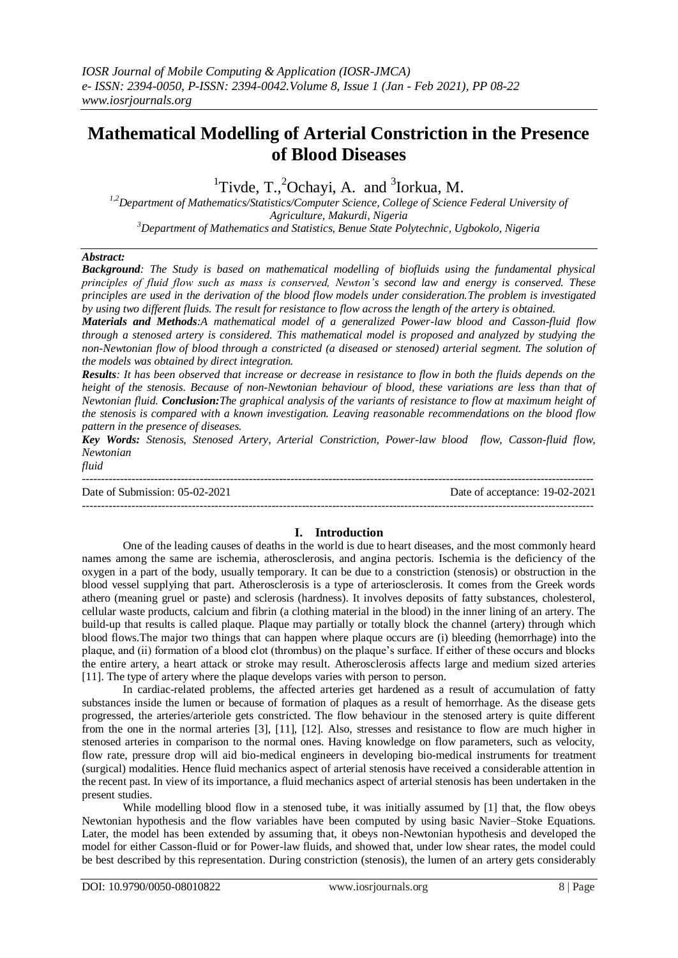# **Mathematical Modelling of Arterial Constriction in the Presence of Blood Diseases**

<sup>1</sup>Tivde, T.,<sup>2</sup>Ochayi, A. and <sup>3</sup>Iorkua, M.

*1,2Department of Mathematics/Statistics/Computer Science, College of Science Federal University of Agriculture, Makurdi, Nigeria <sup>3</sup>Department of Mathematics and Statistics, Benue State Polytechnic, Ugbokolo, Nigeria*

## *Abstract:*

*Background: The Study is based on mathematical modelling of biofluids using the fundamental physical principles of fluid flow such as mass is conserved, Newton's second law and energy is conserved. These principles are used in the derivation of the blood flow models under consideration.The problem is investigated by using two different fluids. The result for resistance to flow across the length of the artery is obtained.* 

*Materials and Methods:A mathematical model of a generalized Power-law blood and Casson-fluid flow through a stenosed artery is considered. This mathematical model is proposed and analyzed by studying the non-Newtonian flow of blood through a constricted (a diseased or stenosed) arterial segment. The solution of the models was obtained by direct integration.*

*Results: It has been observed that increase or decrease in resistance to flow in both the fluids depends on the height of the stenosis. Because of non-Newtonian behaviour of blood, these variations are less than that of Newtonian fluid. Conclusion:The graphical analysis of the variants of resistance to flow at maximum height of the stenosis is compared with a known investigation. Leaving reasonable recommendations on the blood flow pattern in the presence of diseases.* 

*Key Words: Stenosis, Stenosed Artery, Arterial Constriction, Power-law blood flow, Casson-fluid flow, Newtonian* 

*fluid*

--------------------------------------------------------------------------------------------------------------------------------------- Date of Submission: 05-02-2021 Date of acceptance: 19-02-2021 ---------------------------------------------------------------------------------------------------------------------------------------

## **I. Introduction**

One of the leading causes of deaths in the world is due to heart diseases, and the most commonly heard names among the same are ischemia, atherosclerosis, and angina pectoris. Ischemia is the deficiency of the oxygen in a part of the body, usually temporary. It can be due to a constriction (stenosis) or obstruction in the blood vessel supplying that part. Atherosclerosis is a type of arteriosclerosis. It comes from the Greek words athero (meaning gruel or paste) and sclerosis (hardness). It involves deposits of fatty substances, cholesterol, cellular waste products, calcium and fibrin (a clothing material in the blood) in the inner lining of an artery. The build-up that results is called plaque. Plaque may partially or totally block the channel (artery) through which blood flows.The major two things that can happen where plaque occurs are (i) bleeding (hemorrhage) into the plaque, and (ii) formation of a blood clot (thrombus) on the plaque's surface. If either of these occurs and blocks the entire artery, a heart attack or stroke may result. Atherosclerosis affects large and medium sized arteries [11]. The type of artery where the plaque develops varies with person to person.

In cardiac-related problems, the affected arteries get hardened as a result of accumulation of fatty substances inside the lumen or because of formation of plaques as a result of hemorrhage. As the disease gets progressed, the arteries/arteriole gets constricted. The flow behaviour in the stenosed artery is quite different from the one in the normal arteries [3], [11], [12]. Also, stresses and resistance to flow are much higher in stenosed arteries in comparison to the normal ones. Having knowledge on flow parameters, such as velocity, flow rate, pressure drop will aid bio-medical engineers in developing bio-medical instruments for treatment (surgical) modalities. Hence fluid mechanics aspect of arterial stenosis have received a considerable attention in the recent past. In view of its importance, a fluid mechanics aspect of arterial stenosis has been undertaken in the present studies.

While modelling blood flow in a stenosed tube, it was initially assumed by [1] that, the flow obeys Newtonian hypothesis and the flow variables have been computed by using basic Navier–Stoke Equations. Later, the model has been extended by assuming that, it obeys non-Newtonian hypothesis and developed the model for either Casson-fluid or for Power-law fluids, and showed that, under low shear rates, the model could be best described by this representation. During constriction (stenosis), the lumen of an artery gets considerably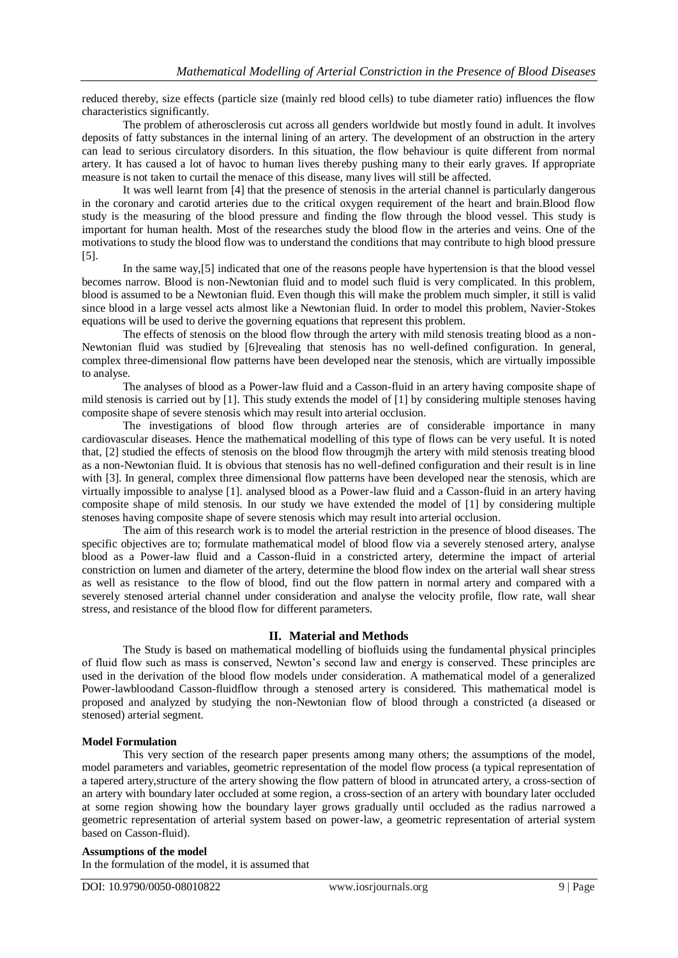reduced thereby, size effects (particle size (mainly red blood cells) to tube diameter ratio) influences the flow characteristics significantly.

The problem of atherosclerosis cut across all genders worldwide but mostly found in adult. It involves deposits of fatty substances in the internal lining of an artery. The development of an obstruction in the artery can lead to serious circulatory disorders. In this situation, the flow behaviour is quite different from normal artery. It has caused a lot of havoc to human lives thereby pushing many to their early graves. If appropriate measure is not taken to curtail the menace of this disease, many lives will still be affected.

It was well learnt from [4] that the presence of stenosis in the arterial channel is particularly dangerous in the coronary and carotid arteries due to the critical oxygen requirement of the heart and brain.Blood flow study is the measuring of the blood pressure and finding the flow through the blood vessel. This study is important for human health. Most of the researches study the blood flow in the arteries and veins. One of the motivations to study the blood flow was to understand the conditions that may contribute to high blood pressure [5].

In the same way,[5] indicated that one of the reasons people have hypertension is that the blood vessel becomes narrow. Blood is non-Newtonian fluid and to model such fluid is very complicated. In this problem, blood is assumed to be a Newtonian fluid. Even though this will make the problem much simpler, it still is valid since blood in a large vessel acts almost like a Newtonian fluid. In order to model this problem, Navier-Stokes equations will be used to derive the governing equations that represent this problem.

The effects of stenosis on the blood flow through the artery with mild stenosis treating blood as a non-Newtonian fluid was studied by [6]revealing that stenosis has no well-defined configuration. In general, complex three-dimensional flow patterns have been developed near the stenosis, which are virtually impossible to analyse.

The analyses of blood as a Power-law fluid and a Casson-fluid in an artery having composite shape of mild stenosis is carried out by [1]. This study extends the model of [1] by considering multiple stenoses having composite shape of severe stenosis which may result into arterial occlusion.

The investigations of blood flow through arteries are of considerable importance in many cardiovascular diseases. Hence the mathematical modelling of this type of flows can be very useful. It is noted that, [2] studied the effects of stenosis on the blood flow througmjh the artery with mild stenosis treating blood as a non-Newtonian fluid. It is obvious that stenosis has no well-defined configuration and their result is in line with [3]. In general, complex three dimensional flow patterns have been developed near the stenosis, which are virtually impossible to analyse [1]. analysed blood as a Power-law fluid and a Casson-fluid in an artery having composite shape of mild stenosis. In our study we have extended the model of [1] by considering multiple stenoses having composite shape of severe stenosis which may result into arterial occlusion.

The aim of this research work is to model the arterial restriction in the presence of blood diseases. The specific objectives are to; formulate mathematical model of blood flow via a severely stenosed artery, analyse blood as a Power-law fluid and a Casson-fluid in a constricted artery, determine the impact of arterial constriction on lumen and diameter of the artery, determine the blood flow index on the arterial wall shear stress as well as resistance to the flow of blood, find out the flow pattern in normal artery and compared with a severely stenosed arterial channel under consideration and analyse the velocity profile, flow rate, wall shear stress, and resistance of the blood flow for different parameters.

# **II. Material and Methods**

The Study is based on mathematical modelling of biofluids using the fundamental physical principles of fluid flow such as mass is conserved, Newton's second law and energy is conserved. These principles are used in the derivation of the blood flow models under consideration. A mathematical model of a generalized Power-lawbloodand Casson-fluidflow through a stenosed artery is considered. This mathematical model is proposed and analyzed by studying the non-Newtonian flow of blood through a constricted (a diseased or stenosed) arterial segment.

## **Model Formulation**

This very section of the research paper presents among many others; the assumptions of the model, model parameters and variables, geometric representation of the model flow process (a typical representation of a tapered artery,structure of the artery showing the flow pattern of blood in atruncated artery, a cross-section of an artery with boundary later occluded at some region, a cross-section of an artery with boundary later occluded at some region showing how the boundary layer grows gradually until occluded as the radius narrowed a geometric representation of arterial system based on power-law, a geometric representation of arterial system based on Casson-fluid).

## **Assumptions of the model**

In the formulation of the model, it is assumed that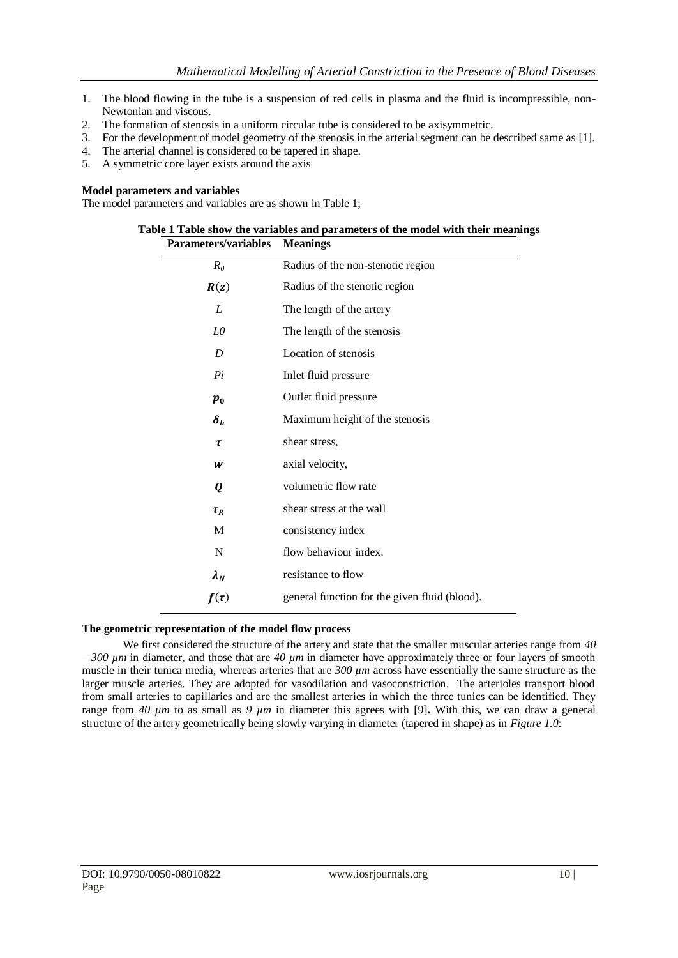- 1. The blood flowing in the tube is a suspension of red cells in plasma and the fluid is incompressible, non-Newtonian and viscous.
- 2. The formation of stenosis in a uniform circular tube is considered to be axisymmetric.
- 3. For the development of model geometry of the stenosis in the arterial segment can be described same as [1].
- 4. The arterial channel is considered to be tapered in shape.
- 5. A symmetric core layer exists around the axis

## **Model parameters and variables**

The model parameters and variables are as shown in Table 1;

| <b>Parameters/variables</b> | Table 1 Table show the variables and parameters of the model with their meanings<br><b>Meanings</b> |
|-----------------------------|-----------------------------------------------------------------------------------------------------|
| $R_0$                       | Radius of the non-stenotic region                                                                   |
| R(z)                        | Radius of the stenotic region                                                                       |
| L                           | The length of the artery                                                                            |
| L0                          | The length of the stenosis                                                                          |
| D                           | Location of stenosis                                                                                |
| Pi                          | Inlet fluid pressure                                                                                |
| $\boldsymbol{p}_0$          | Outlet fluid pressure                                                                               |
| $\delta_h$                  | Maximum height of the stenosis                                                                      |
| τ                           | shear stress,                                                                                       |
| W                           | axial velocity,                                                                                     |
| 0                           | volumetric flow rate                                                                                |
| $\tau_R$                    | shear stress at the wall                                                                            |
| M                           | consistency index                                                                                   |
| N                           | flow behaviour index.                                                                               |
| $\lambda_N$                 | resistance to flow                                                                                  |
| $f(\tau)$                   | general function for the given fluid (blood).                                                       |
|                             |                                                                                                     |

## **The geometric representation of the model flow process**

We first considered the structure of the artery and state that the smaller muscular arteries range from *40 – 300 µm* in diameter, and those that are *40 µm* in diameter have approximately three or four layers of smooth muscle in their tunica media, whereas arteries that are *300 µm* across have essentially the same structure as the larger muscle arteries. They are adopted for vasodilation and vasoconstriction. The arterioles transport blood from small arteries to capillaries and are the smallest arteries in which the three tunics can be identified. They range from *40 µm* to as small as *9 µm* in diameter this agrees with [9]**.** With this, we can draw a general structure of the artery geometrically being slowly varying in diameter (tapered in shape) as in *Figure 1.0*: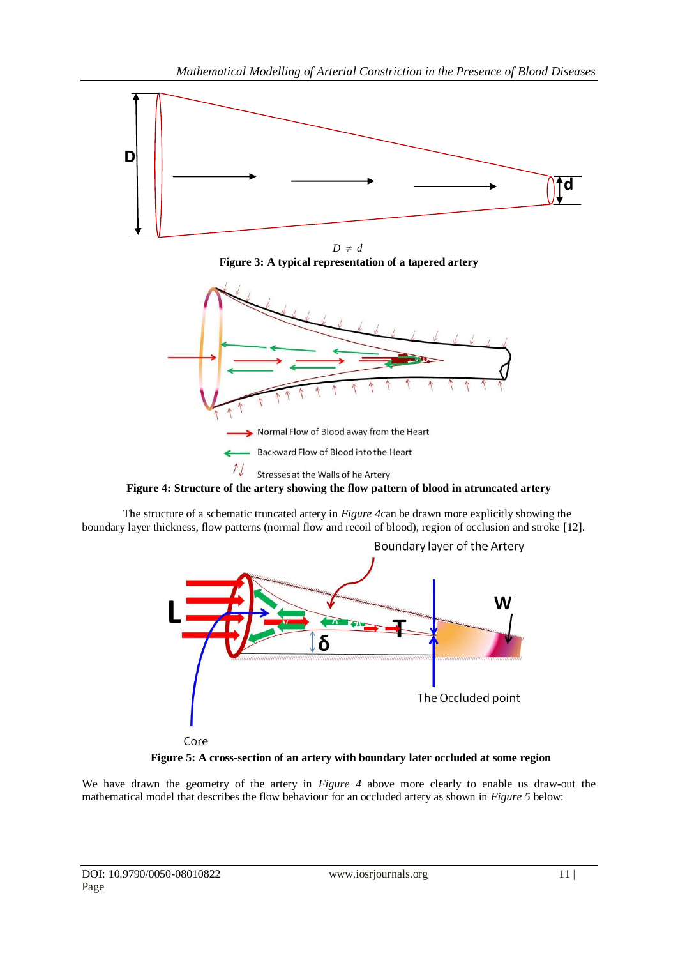

 $D \neq d$ **Figure 3: A typical representation of a tapered artery**



**Figure 4: Structure of the artery showing the flow pattern of blood in atruncated artery**

The structure of a schematic truncated artery in *Figure 4*can be drawn more explicitly showing the boundary layer thickness, flow patterns (normal flow and recoil of blood), region of occlusion and stroke [12].



**Figure 5: A cross-section of an artery with boundary later occluded at some region**

We have drawn the geometry of the artery in *Figure 4* above more clearly to enable us draw-out the mathematical model that describes the flow behaviour for an occluded artery as shown in *Figure 5* below: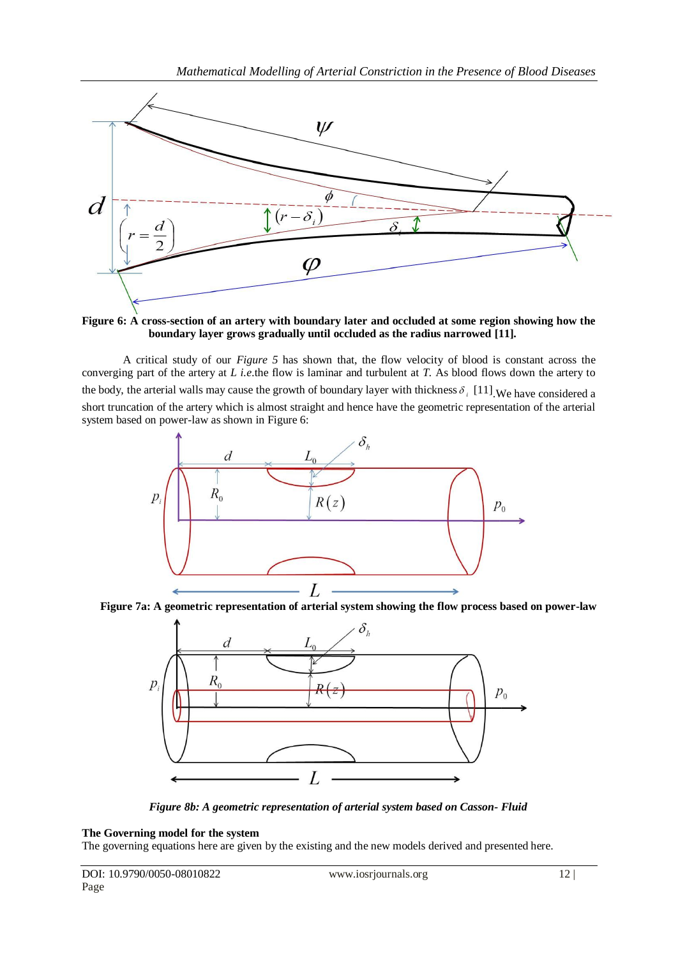

**Figure 6: A cross-section of an artery with boundary later and occluded at some region showing how the boundary layer grows gradually until occluded as the radius narrowed [11].**

A critical study of our *Figure 5* has shown that, the flow velocity of blood is constant across the converging part of the artery at *L i.e.*the flow is laminar and turbulent at *T.* As blood flows down the artery to the body, the arterial walls may cause the growth of boundary layer with thickness  $\delta_i$  [11]. We have considered a short truncation of the artery which is almost straight and hence have the geometric representation of the arterial system based on power-law as shown in Figure 6:



**Figure 7a: A geometric representation of arterial system showing the flow process based on power-law** 



*Figure 8b: A geometric representation of arterial system based on Casson- Fluid*

## **The Governing model for the system**

The governing equations here are given by the existing and the new models derived and presented here.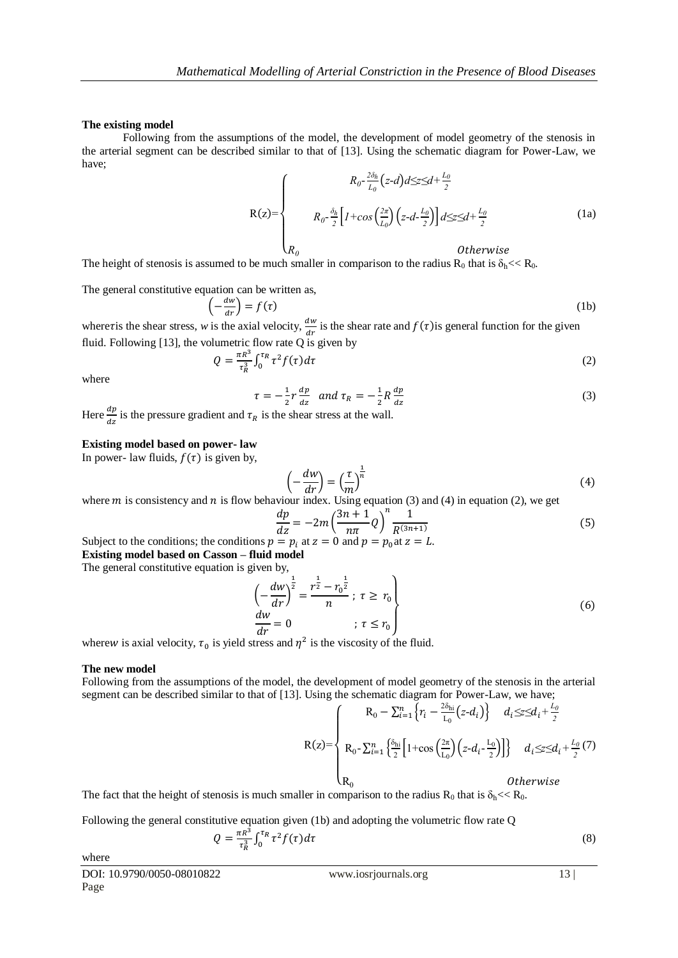#### **The existing model**

Following from the assumptions of the model, the development of model geometry of the stenosis in the arterial segment can be described similar to that of [13]. Using the schematic diagram for Power-Law, we have;

$$
R(z) = \begin{cases} R_0 - \frac{2\delta_h}{L_0} (z-d) dz \leq d + \frac{L_0}{2} \\ R_0 - \frac{\delta_h}{2} \Big[ 1 + \cos\left(\frac{2\pi}{L_0}\right) \Big( z - d - \frac{L_0}{2} \Big) \Big] dz \leq d + \frac{L_0}{2} \\ R_0 \qquad \qquad \text{Otherwise} \end{cases} \tag{1a}
$$

The height of stenosis is assumed to be much smaller in comparison to the radius  $R_0$  that is  $\delta_h << R_0$ .

The general constitutive equation can be written as,

$$
\left(-\frac{dw}{dr}\right) = f(\tau) \tag{1b}
$$

where *t* is the shear stress, *w* is the axial velocity,  $\frac{dw}{dr}$  is the shear rate and  $f(\tau)$  is general function for the given fluid. Following [13], the volumetric flow rate  $Q$  is given by

$$
Q = \frac{\pi R^3}{\tau_R^3} \int_0^{\tau_R} \tau^2 f(\tau) d\tau \tag{2}
$$

where

$$
\tau = -\frac{1}{2}r\frac{dp}{dz} \quad \text{and} \quad \tau_R = -\frac{1}{2}R\frac{dp}{dz} \tag{3}
$$

Here  $\frac{dp}{dz}$  is the pressure gradient and  $\tau_R$  is the shear stress at the wall.

## **Existing model based on power- law**

In power- law fluids,  $f(\tau)$  is given by,

$$
\left(-\frac{dw}{dr}\right) = \left(\frac{\tau}{m}\right)^{\frac{1}{n}}\tag{4}
$$

where m is consistency and n is flow behaviour index. Using equation (3) and (4) in equation (2), we get

$$
\frac{dp}{dz} = -2m \left(\frac{3n+1}{n\pi}Q\right)^n \frac{1}{R^{(3n+1)}}
$$
(5)

Subject to the conditions; the conditions  $p = p_i$  at  $z = 0$  and  $p = p_0$  at  $z = L$ .

**Existing model based on Casson – fluid model**

The general constitutive equation is given by,

$$
\left(-\frac{dw}{dr}\right)^{\frac{1}{2}} = \frac{r^{\frac{1}{2}} - r_0^{\frac{1}{2}}}{n}; \ \tau \ge r_0
$$
\n
$$
\frac{dw}{dr} = 0 \qquad ; \ \tau \le r_0
$$
\n(6)

wherew is axial velocity,  $\tau_0$  is yield stress and  $\eta^2$  is the viscosity of the fluid.

#### **The new model**

Following from the assumptions of the model, the development of model geometry of the stenosis in the arterial segment can be described similar to that of [13]. Using the schematic diagram for Power-Law, we have;

$$
R(z) = \begin{cases} R_0 - \sum_{i=1}^n \left\{ r_i - \frac{2\delta_{hi}}{L_0} (z - d_i) \right\} & d_i \leq z \leq d_i + \frac{L_0}{2} \\ R_0 - \sum_{i=1}^n \left\{ \frac{\delta_{hi}}{2} \left[ 1 + \cos \left( \frac{2\pi}{L_0} \right) (z - d_i - \frac{L_0}{2}) \right] \right\} & d_i \leq z \leq d_i + \frac{L_0}{2} (7) \\ R_0 & Otherwise \end{cases}
$$

The fact that the height of stenosis is much smaller in comparison to the radius  $R_0$  that is  $\delta_h \ll R_0$ .

Following the general constitutive equation given (1b) and adopting the volumetric flow rate Q 3

$$
Q = \frac{\pi R^3}{\tau_R^3} \int_0^{\tau_R} \tau^2 f(\tau) d\tau \tag{8}
$$

where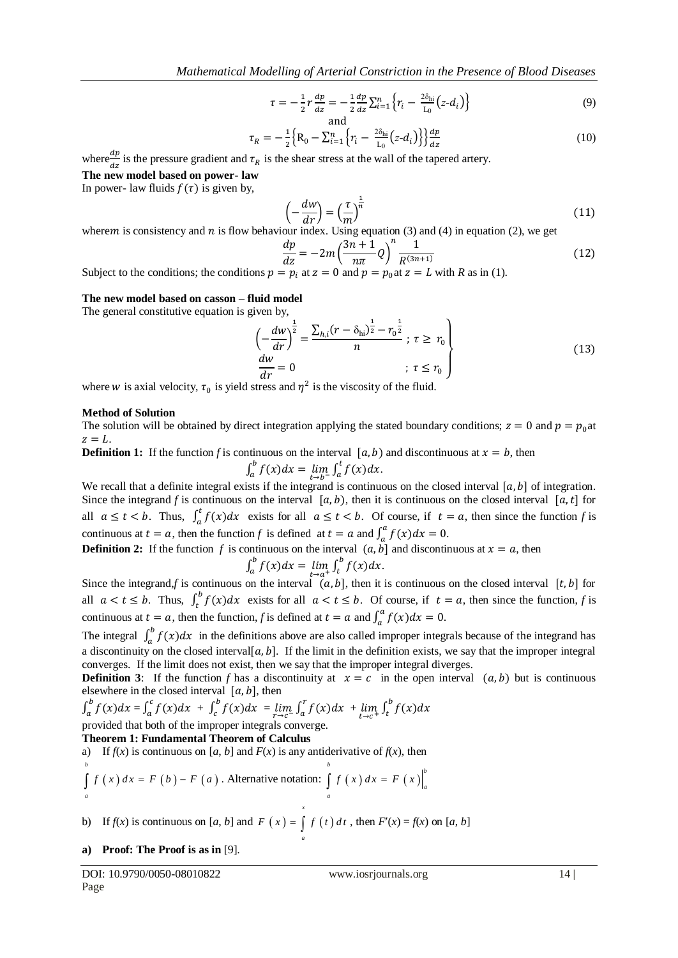$$
\tau = -\frac{1}{2}r\frac{dp}{dz} = -\frac{1}{2}\frac{dp}{dz}\sum_{i=1}^{n} \left\{r_i - \frac{2\delta_{hi}}{L_0}(z - d_i)\right\}
$$
(9)

and  

$$
\tau_R = -\frac{1}{2} \Big\{ R_0 - \sum_{i=1}^n \Big\{ r_i - \frac{2\delta_{hi}}{L_0} (z - d_i) \Big\} \Big\} \frac{dp}{dz}
$$
(10)

where  $\frac{dp}{dz}$  is the pressure gradient and  $\tau_R$  is the shear stress at the wall of the tapered artery.

**The new model based on power- law**

In power- law fluids  $f(\tau)$  is given by,

$$
\left(-\frac{dw}{dr}\right) = \left(\frac{\tau}{m}\right)^{\frac{1}{n}}\tag{11}
$$

wherem is consistency and  $n$  is flow behaviour index. Using equation (3) and (4) in equation (2), we get

$$
\frac{dp}{dz} = -2m\left(\frac{3n+1}{n\pi}Q\right)^n \frac{1}{R^{(3n+1)}}
$$
(12)

Subject to the conditions; the conditions  $p = p_i$  at  $z = 0$  and  $p = p_0$  at  $z = L$  with *R* as in (1).

## **The new model based on casson – fluid model**

The general constitutive equation is given by,

$$
\left(-\frac{dw}{dr}\right)^{\frac{1}{2}} = \frac{\sum_{h,i}(r - \delta_{hi})^{\frac{1}{2}} - r_0^{\frac{1}{2}}}{n}; \ \tau \ge r_0
$$
\n
$$
\frac{dw}{dr} = 0 \qquad ; \ \tau \le r_0 \qquad (13)
$$

where w is axial velocity,  $\tau_0$  is yield stress and  $\eta^2$  is the viscosity of the fluid.

#### **Method of Solution**

The solution will be obtained by direct integration applying the stated boundary conditions;  $z = 0$  and  $p = p_0$ at  $z=L$ .

**Definition 1:** If the function f is continuous on the interval  $[a, b)$  and discontinuous at  $x = b$ , then  $\int_a^b f(x)dx = \lim_{t \to b^-} \int_a^c f(x)dx.$ 

We recall that a definite integral exists if the integrand is continuous on the closed interval  $[a, b]$  of integration. Since the integrand *f* is continuous on the interval  $[a, b)$ , then it is continuous on the closed interval  $[a, t]$  for all  $a \le t < b$ . Thus,  $\int_a^t f(x) dx$  exists for all  $a \le t < b$ . Of course, if  $t = a$ , then since the function *f* is continuous at  $t = a$ , then the function *f* is defined at  $t = a$  and  $\int_a^a f(x)dx = 0$ .

**Definition 2:** If the function f is continuous on the interval  $(a, b]$  and discontinuous at  $x = a$ , then

$$
\int_a^b f(x)dx = \lim_{t \to a^+} \int_t^b f(x)dx.
$$

Since the integrand,*f* is continuous on the interval  $(a, b]$ , then it is continuous on the closed interval [t, b] for all  $a < t \le b$ . Thus,  $\int_t^b f(x) dx$  exists for all  $a < t \le b$ . Of course, if  $t = a$ , then since the function, *f* is continuous at  $t = a$ , then the function, *f* is defined at  $t = a$  and  $\int_a^a f(x)dx = 0$ .

The integral  $\int_a^b f(x)dx$  in the definitions above are also called improper integrals because of the integrand has a discontinuity on the closed interval  $[a, b]$ . If the limit in the definition exists, we say that the improper integral converges. If the limit does not exist, then we say that the improper integral diverges.

**Definition 3:** If the function *f* has a discontinuity at  $x = c$  in the open interval  $(a, b)$  but is continuous elsewhere in the closed interval  $[a, b]$ , then

$$
\int_a^b f(x)dx = \int_a^c f(x)dx + \int_c^b f(x)dx = \lim_{r \to c^-} \int_a^r f(x)dx + \lim_{t \to c^+} \int_t^b f(x)dx
$$
  
provided that both of the improper integrals converges

provided that both of the improper integrals converge.

## **Theorem 1: Fundamental Theorem of Calculus**

a) If  $f(x)$  is continuous on [*a*, *b*] and  $F(x)$  is any antiderivative of  $f(x)$ , then

$$
\int_{a}^{b} f(x) dx = F(b) - F(a)
$$
. Alternative notation: 
$$
\int_{a}^{b} f(x) dx = F(x) \Big|_{a}^{b}
$$

b) If  $f(x)$  is continuous on [*a*, *b*] and  $F(x) = \int f(t) dt$ , then  $F'(x) = f(x)$  on [*a*, *b*] *x a*

#### **a) Proof: The Proof is as in** [9].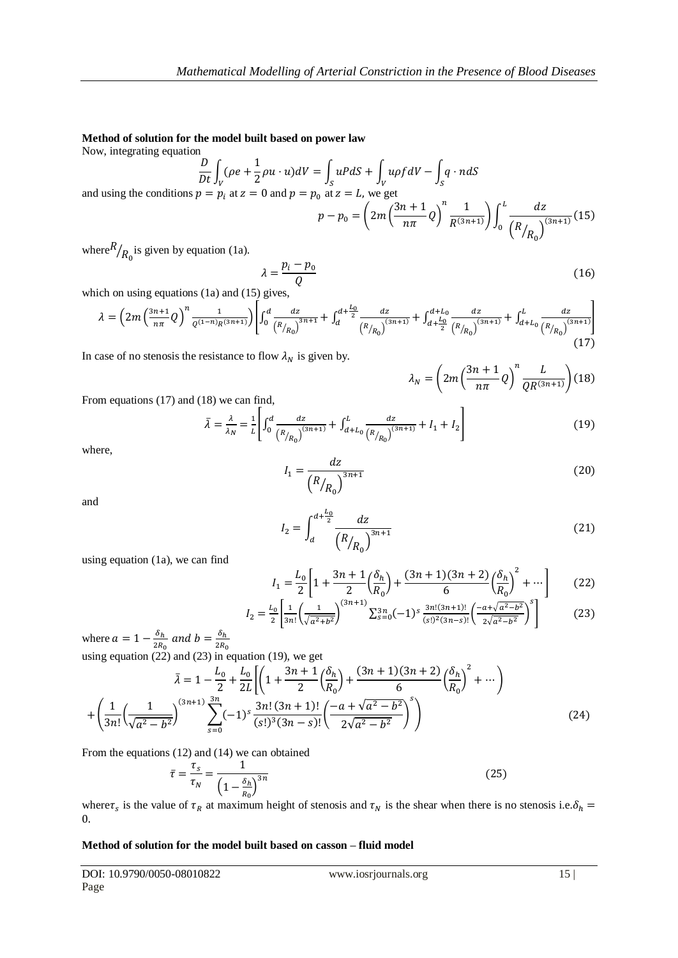## **Method of solution for the model built based on power law**

Now, integrating equation

$$
\frac{D}{Dt} \int_{V} (\rho e + \frac{1}{2}\rho u \cdot u) dV = \int_{S} uP dS + \int_{V} u\rho f dV - \int_{S} q \cdot n dS
$$
  
and using the conditions  $p = p_i$  at  $z = 0$  and  $p = p_0$  at  $z = L$ , we get  

$$
p - p_0 = \left(2m\left(\frac{3n+1}{n\pi}Q\right)^n \frac{1}{R^{(3n+1)}}\right) \int_0^L \frac{dz}{\left(R_{R_0}\right)^{(3n+1)}} (15)
$$

where  $R/R_0$  is given by equation (1a).

$$
\lambda = \frac{p_i - p_0}{Q} \tag{16}
$$

which on using equations (1a) and (15) gives,

$$
\lambda = \left(2m\left(\frac{3n+1}{n\pi}Q\right)^n\frac{1}{\varrho^{(1-n)}R^{(3n+1)}}\right)\left[\int_0^d \frac{dz}{\left(R_{R_0}\right)^{3n+1}} + \int_d^{d+\frac{L_0}{2}} \frac{dz}{\left(R_{R_0}\right)^{(3n+1)}} + \int_{d+\frac{L_0}{2}}^{d+L_0} \frac{dz}{\left(R_{R_0}\right)^{(3n+1)}} + \int_{d+L_0}^L \frac{dz}{\left(R_{R_0}\right)^{(3n+1)}}\right] \tag{17}
$$

In case of no stenosis the resistance to flow  $\lambda_N$  is given by.

$$
\lambda_N = \left(2m\left(\frac{3n+1}{n\pi}Q\right)^n \frac{L}{QR^{(3n+1)}}\right) (18)
$$

From equations (17) and (18) we can find,

$$
\bar{\lambda} = \frac{\lambda}{\lambda_N} = \frac{1}{L} \left[ \int_0^d \frac{dz}{\left( R_{R_0} \right)^{(3n+1)}} + \int_{d+L_0}^L \frac{dz}{\left( R_{R_0} \right)^{(3n+1)}} + I_1 + I_2 \right] \tag{19}
$$

where,

$$
I_1 = \frac{dz}{\left(R_{R_0}\right)^{3n+1}}\tag{20}
$$

and

$$
I_2 = \int_d^{d + \frac{L_0}{2}} \frac{dz}{\left(R_{R_0}\right)^{3n+1}}
$$
 (21)

using equation (1a), we can find

$$
I_1 = \frac{L_0}{2} \left[ 1 + \frac{3n+1}{2} \left( \frac{\delta_h}{R_0} \right) + \frac{(3n+1)(3n+2)}{6} \left( \frac{\delta_h}{R_0} \right)^2 + \dots \right]
$$
 (22)

$$
I_2 = \frac{L_0}{2} \left[ \frac{1}{3n!} \left( \frac{1}{\sqrt{a^2 + b^2}} \right)^{(3n+1)} \sum_{s=0}^{3n} (-1)^s \frac{3n!(3n+1)!}{(s!)^2 (3n-s)!} \left( \frac{-a + \sqrt{a^2 - b^2}}{2\sqrt{a^2 - b^2}} \right)^s \right] \tag{23}
$$

where  $a = 1 - \frac{\delta}{\delta}$  $\frac{\delta_h}{2R_0}$  and  $b=\frac{\delta}{2R}$ using equation (22) and (23) in equation (19), we get  $\overline{\mathbf{c}}$  $\bar{\lambda} = 1 - \frac{L}{\epsilon}$  $\frac{L_0}{2} + \frac{L}{2}$  $rac{L_0}{2L}\bigg[\bigg(1+\frac{3}{2}\bigg)$  $rac{+1}{2} igl \frac{\delta}{R}$  $\frac{\delta_h}{R_0}\Big) +$  $\frac{(3n+2)}{6}\left(\frac{\delta}{R}\right)$  $\frac{S_{R}}{R_{0}}$  $^{+}$ 3 (  $\frac{3n! (3n+1)!}{(s!)^3 (3n-s)!} \left( \frac{-a + \sqrt{a^2 - b^2}}{2\sqrt{a^2 - b^2}} \right)$  $+\left(\frac{1}{2}\right)$  $\frac{1}{3n!}\left(\frac{1}{\sqrt{a^2-1}}\right)$  $\sum_{0}^{\infty}(-1)^{s}\frac{3}{5}$  $(24)$  $\frac{1}{\sqrt{a^2-b^2}}$  $\frac{2\sqrt{a^2-b^2}}{2\sqrt{a^2-b^2}}$ -1 S

From the equations (12) and (14) we can obtained

$$
\bar{\tau} = \frac{\tau_s}{\tau_N} = \frac{1}{\left(1 - \frac{\delta_h}{R_0}\right)^{3n}}\tag{25}
$$

where  $\tau_s$  is the value of  $\tau_R$  at maximum height of stenosis and  $\tau_N$  is the shear when there is no stenosis i.e.  $\delta$  $\theta$ .

## **Method of solution for the model built based on casson – fluid model**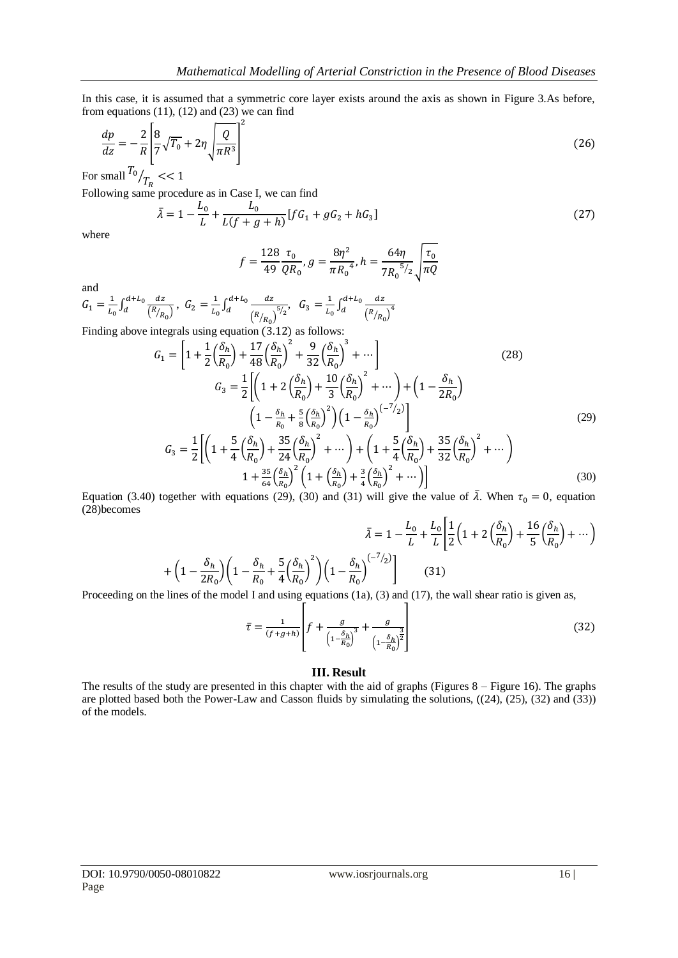In this case, it is assumed that a symmetric core layer exists around the axis as shown in Figure 3.As before, from equations (11), (12) and (23) we can find

$$
\frac{dp}{dz} = -\frac{2}{R} \left[ \frac{8}{7} \sqrt{T_0} + 2\eta \sqrt{\frac{Q}{\pi R^3}} \right]^2 \tag{26}
$$

For small  $^{10}/T$ 

Following same procedure as in Case I, we can find

$$
\bar{\lambda} = 1 - \frac{L_0}{L} + \frac{L_0}{L(f + g + h)} [fG_1 + gG_2 + hG_3]
$$
\n(27)

where

$$
f = \frac{128}{49} \frac{\tau_0}{QR_0}, g = \frac{8\eta^2}{\pi R_0^4}, h = \frac{64\eta}{7R_0^{5/2}} \sqrt{\frac{\tau_0}{\pi Q}}
$$

and

$$
G_1 = \frac{1}{L_0} \int_d^{d+L_0} \frac{dz}{\left(\frac{R}{R_0}\right)}, \ G_2 = \frac{1}{L_0} \int_d^{d+L_0} \frac{dz}{\left(\frac{R}{R_0}\right)^{5/2}}, \ G_3 = \frac{1}{L_0} \int_d^{d+L_0} \frac{dz}{\left(\frac{R}{R_0}\right)^{4}}
$$
  
Finding above integrals using equation (3.12) as follows:

Finding above integrals using equation 
$$
(3.12)
$$
 as follows:

$$
G_{1} = \left[1 + \frac{1}{2} \left(\frac{\delta_{h}}{R_{0}}\right) + \frac{17}{48} \left(\frac{\delta_{h}}{R_{0}}\right)^{2} + \frac{9}{32} \left(\frac{\delta_{h}}{R_{0}}\right)^{3} + \cdots\right]
$$
(28)  

$$
G_{3} = \frac{1}{2} \left[\left(1 + 2 \left(\frac{\delta_{h}}{R_{0}}\right) + \frac{10}{3} \left(\frac{\delta_{h}}{R_{0}}\right)^{2} + \cdots\right) + \left(1 - \frac{\delta_{h}}{2R_{0}}\right)\right]
$$

$$
\left(1 - \frac{\delta_{h}}{R_{0}} + \frac{5}{8} \left(\frac{\delta_{h}}{R_{0}}\right)^{2}\right) \left(1 - \frac{\delta_{h}}{R_{0}}\right)^{(-7/2)}\right]
$$
(29)  

$$
G_{3} = \frac{1}{2} \left[\left(1 + \frac{5}{4} \left(\frac{\delta_{h}}{R_{0}}\right) + \frac{35}{24} \left(\frac{\delta_{h}}{R_{0}}\right)^{2} + \cdots\right) + \left(1 + \frac{5}{4} \left(\frac{\delta_{h}}{R_{0}}\right) + \frac{35}{32} \left(\frac{\delta_{h}}{R_{0}}\right)^{2} + \cdots\right) + \frac{35}{1 + \frac{35}{64} \left(\frac{\delta_{h}}{R_{0}}\right)^{2} \left(1 + \left(\frac{\delta_{h}}{R_{0}}\right) + \frac{3}{4} \left(\frac{\delta_{h}}{R_{0}}\right)^{2} + \cdots\right)\right]
$$
(30)

Equation (3.40) together with equations (29), (30) and (31) will give the value of  $\bar{\lambda}$ . When  $\tau_0 = 0$ , equation (28)becomes

$$
\bar{\lambda} = 1 - \frac{L_0}{L} + \frac{L_0}{L} \left[ \frac{1}{2} \left( 1 + 2 \left( \frac{\delta_h}{R_0} \right) + \frac{16}{5} \left( \frac{\delta_h}{R_0} \right) + \dots \right) \right]
$$

$$
+ \left( 1 - \frac{\delta_h}{2R_0} \right) \left( 1 - \frac{\delta_h}{R_0} + \frac{5}{4} \left( \frac{\delta_h}{R_0} \right)^2 \right) \left( 1 - \frac{\delta_h}{R_0} \right)^{(-7/2)} \right] \tag{31}
$$

Proceeding on the lines of the model I and using equations (1a), (3) and (17), the wall shear ratio is given as,

$$
\bar{\tau} = \frac{1}{(f+g+h)} \left[ f + \frac{g}{\left(1 - \frac{\delta_h}{R_0}\right)^3} + \frac{g}{\left(1 - \frac{\delta_h}{R_0}\right)^{\frac{3}{2}}} \right]
$$
(32)

#### **III. Result**

The results of the study are presented in this chapter with the aid of graphs (Figures 8 – Figure 16). The graphs are plotted based both the Power-Law and Casson fluids by simulating the solutions, ((24), (25), (32) and (33)) of the models.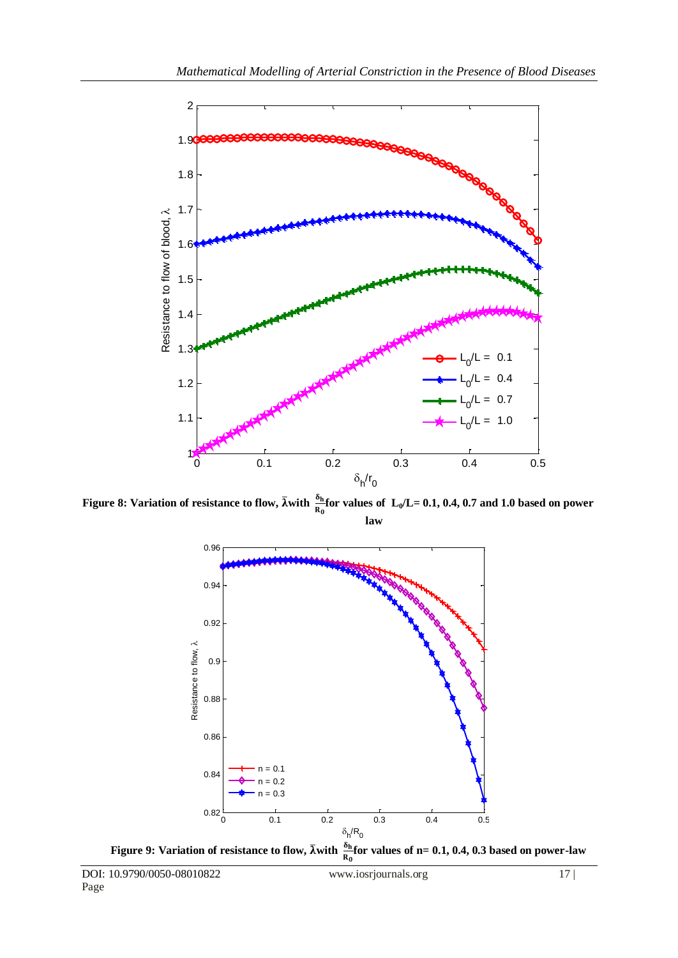

**Figure 8: Variation of resistance to flow,**  $\bar{\lambda}$  **with**  $\frac{\text{on}}{\text{R}_0}$  **for values of**  $\text{L}_0/\text{L}=0.1$ **, 0.4, 0.7 and 1.0 based on power law**

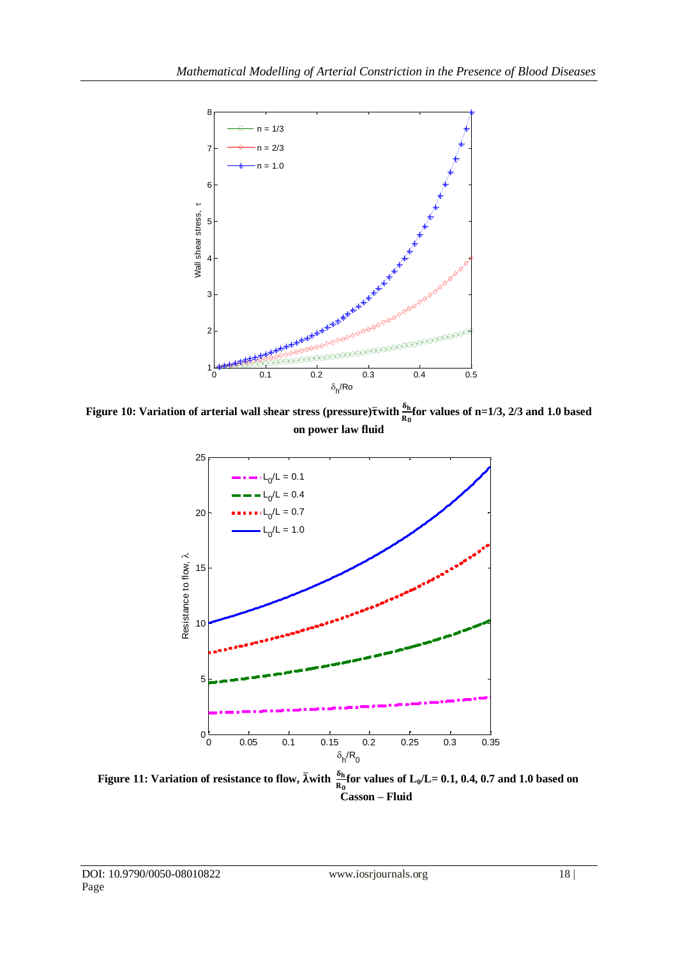

**Figure 10: Variation of arterial wall shear stress (pressure)** $\bar{\tau}$ **with**  $\frac{v_h}{R_0}$  **for values of n=1/3, 2/3 and 1.0 based on power law fluid**



**Figure 11:** Variation of resistance to flow,  $\bar{\lambda}$  with  $\frac{\sigma_{\rm h}}{R_0}$  for values of  $L_0/L = 0.1, 0.4, 0.7$  and 1.0 based on **Casson – Fluid**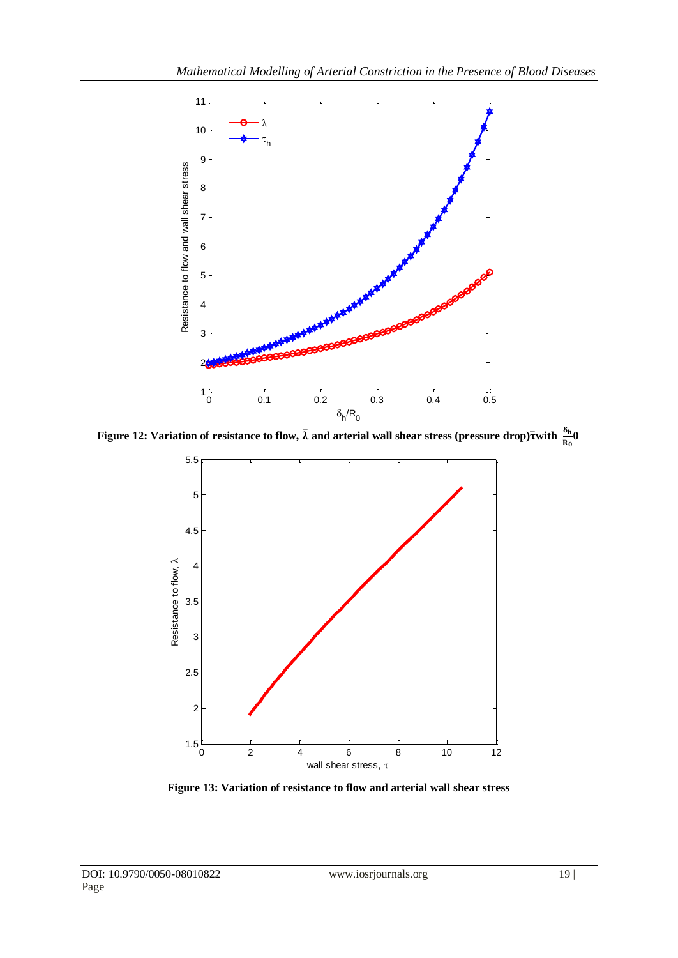

**Figure 12: Variation of resistance to flow,**  $\bar{\lambda}$  **and arterial wall shear stress (pressure drop)** $\bar{\tau}$ **with**  $\frac{\omega_{\bar{n}}_0}{R_0}$ 



**Figure 13: Variation of resistance to flow and arterial wall shear stress**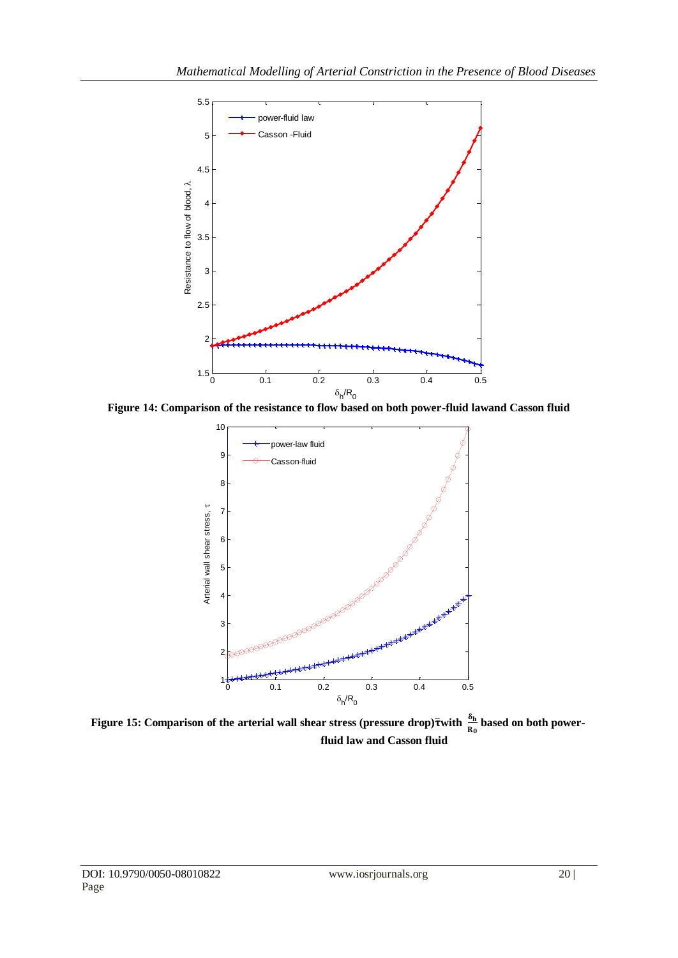

**Figure 14: Comparison of the resistance to flow based on both power-fluid lawand Casson fluid**



Figure 15: Comparison of the arterial wall shear stress (pressure drop) $\bar{\tau}$ with  $\frac{d_{h}}{R_{0}}$  based on both power**fluid law and Casson fluid**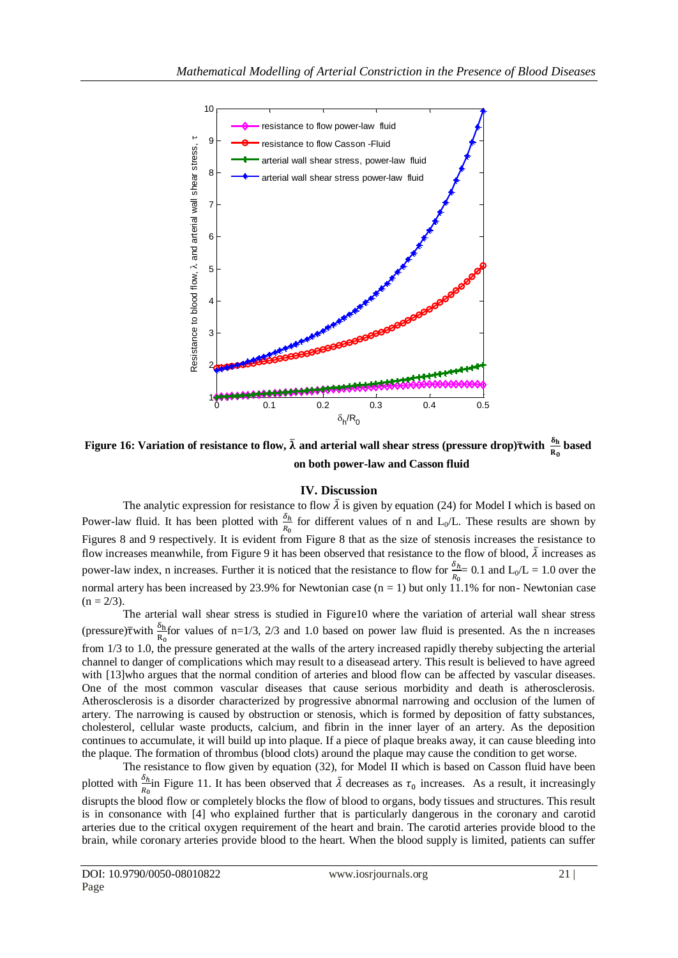

**Figure 16: Variation of resistance to flow,**  $\bar{\lambda}$  **and arterial wall shear stress (pressure drop)** $\bar{\tau}$ **with**  $\frac{u_{\rm h}}{R_0}$  **based on both power-law and Casson fluid**

# **IV. Discussion**

The analytic expression for resistance to flow  $\bar{\lambda}$  is given by equation (24) for Model I which is based on Power-law fluid. It has been plotted with  $\frac{b_h}{R_0}$  for different values of n and L<sub>0</sub>/L. These results are shown by Figures 8 and 9 respectively. It is evident from Figure 8 that as the size of stenosis increases the resistance to flow increases meanwhile, from Figure 9 it has been observed that resistance to the flow of blood,  $\bar{\lambda}$  increases as power-law index, n increases. Further it is noticed that the resistance to flow for  $\frac{a_h}{R_0}$  = 0.1 and L<sub>0</sub>/L = 1.0 over the normal artery has been increased by 23.9% for Newtonian case (n = 1) but only 11.1% for non- Newtonian case  $(n = 2/3)$ .

The arterial wall shear stress is studied in Figure10 where the variation of arterial wall shear stress (pressure) $\bar{\tau}$ with  $\frac{d_{\rm h}}{d_{\rm g}}$  for values of n=1/3, 2/3 and 1.0 based on power law fluid is presented. As the n increases from 1/3 to 1.0, the pressure generated at the walls of the artery increased rapidly thereby subjecting the arterial channel to danger of complications which may result to a diseasead artery. This result is believed to have agreed with [13] who argues that the normal condition of arteries and blood flow can be affected by vascular diseases. One of the most common vascular diseases that cause serious morbidity and death is atherosclerosis. Atherosclerosis is a disorder characterized by progressive abnormal narrowing and occlusion of the lumen of artery. The narrowing is caused by obstruction or stenosis, which is formed by deposition of fatty substances, cholesterol, cellular waste products, calcium, and fibrin in the inner layer of an artery. As the deposition continues to accumulate, it will build up into plaque. If a piece of plaque breaks away, it can cause bleeding into the plaque. The formation of thrombus (blood clots) around the plaque may cause the condition to get worse.

The resistance to flow given by equation (32), for Model II which is based on Casson fluid have been plotted with  $\frac{b_h}{R_0}$  in Figure 11. It has been observed that  $\overline{\lambda}$  decreases as  $\tau_0$  increases. As a result, it increasingly disrupts the blood flow or completely blocks the flow of blood to organs, body tissues and structures. This result is in consonance with [4] who explained further that is particularly dangerous in the coronary and carotid arteries due to the critical oxygen requirement of the heart and brain. The carotid arteries provide blood to the brain, while coronary arteries provide blood to the heart. When the blood supply is limited, patients can suffer